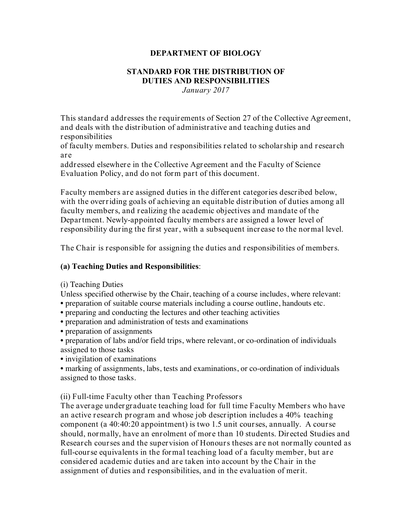#### **DEPARTMENT OF BIOLOGY**

#### **STANDARD FOR THE DISTRIBUTION OF DUTIES AND RESPONSIBILITIES** *January 2017*

This standard addresses the requirements of Section 27 of the Collective Agreement, and deals with the distribution of administrative and teaching duties and responsibilities

of faculty members. Duties and responsibilities related to scholarship and research are

addressed elsewhere in the Collective Agreement and the Faculty of Science Evaluation Policy, and do not form part of this document.

Faculty members are assigned duties in the different categories described below, with the overriding goals of achieving an equitable distribution of duties among all faculty members, and realizing the academic objectives and mandate of the Department. Newly-appointed faculty members are assigned a lower level of responsibility during the first year, with a subsequent increase to the normal level.

The Chair is responsible for assigning the duties and responsibilities of members.

#### **(a) Teaching Duties and Responsibilities**:

#### (i) Teaching Duties

Unless specified otherwise by the Chair, teaching of a course includes, where relevant: • preparation of suitable course materials including a course outline, handouts etc.

• preparing and conducting the lectures and other teaching activities

• preparation and administration of tests and examinations

• preparation of assignments

• preparation of labs and/or field trips, where relevant, or co-ordination of individuals assigned to those tasks

• invigilation of examinations

• marking of assignments, labs, tests and examinations, or co-ordination of individuals assigned to those tasks.

(ii) Full-time Faculty other than Teaching Professors

The average undergraduate teaching load for full time Faculty Members who have an active research program and whose job description includes a 40% teaching component (a 40:40:20 appointment) is two 1.5 unit courses, annually. A course should, normally, have an enrolment of more than 10 students. Directed Studies and Research courses and the supervision of Honours theses are not normally counted as full-course equivalents in the formal teaching load of a faculty member, but are considered academic duties and are taken into account by the Chair in the assignment of duties and responsibilities, and in the evaluation of merit.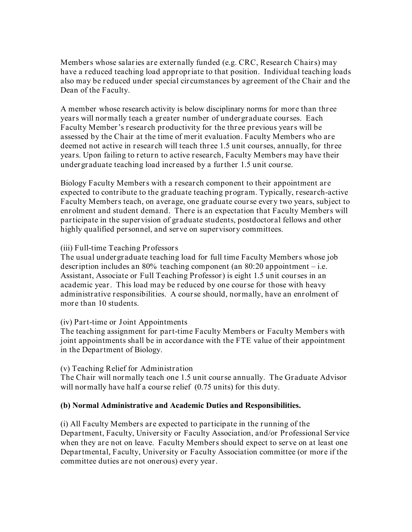Members whose salaries are externally funded (e.g. CRC, Research Chairs) may have a reduced teaching load appropriate to that position. Individual teaching loads also may be reduced under special circumstances by agreement of the Chair and the Dean of the Faculty.

A member whose research activity is below disciplinary norms for more than three years will normally teach a greater number of undergraduate courses. Each Faculty Member's research productivity for the three previous years will be assessed by the Chair at the time of merit evaluation. Faculty Members who are deemed not active in research will teach three 1.5 unit courses, annually, for three years. Upon failing to return to active research, Faculty Members may have their undergraduate teaching load increased by a further 1.5 unit course.

Biology Faculty Members with a research component to their appointment are expected to contribute to the graduate teaching program. Typically, research-active Faculty Members teach, on average, one graduate course every two years, subject to enrolment and student demand. There is an expectation that Faculty Members will participate in the supervision of graduate students, postdoctoral fellows and other highly qualified personnel, and serve on supervisory committees.

## (iii) Full-time Teaching Professors

The usual undergraduate teaching load for full time Faculty Members whose job description includes an  $80\%$  teaching component (an  $80:20$  appointment – i.e. Assistant, Associate or Full Teaching Professor) is eight 1.5 unit courses in an academic year. This load may be reduced by one course for those with heavy administrative responsibilities. A course should, normally, have an enrolment of more than 10 students.

## (iv) Part-time or Joint Appointments

The teaching assignment for part-time Faculty Members or Faculty Members with joint appointments shall be in accordance with the FTE value of their appointment in the Department of Biology.

## (v) Teaching Relief for Administration

The Chair will normally teach one 1.5 unit course annually. The Graduate Advisor will normally have half a course relief (0.75 units) for this duty.

## **(b) Normal Administrative and Academic Duties and Responsibilities.**

(i) All Faculty Members are expected to participate in the running of the Department, Faculty, University or Faculty Association, and/or Professional Service when they are not on leave. Faculty Members should expect to serve on at least one Departmental, Faculty, University or Faculty Association committee (or more if the committee duties are not onerous) every year.